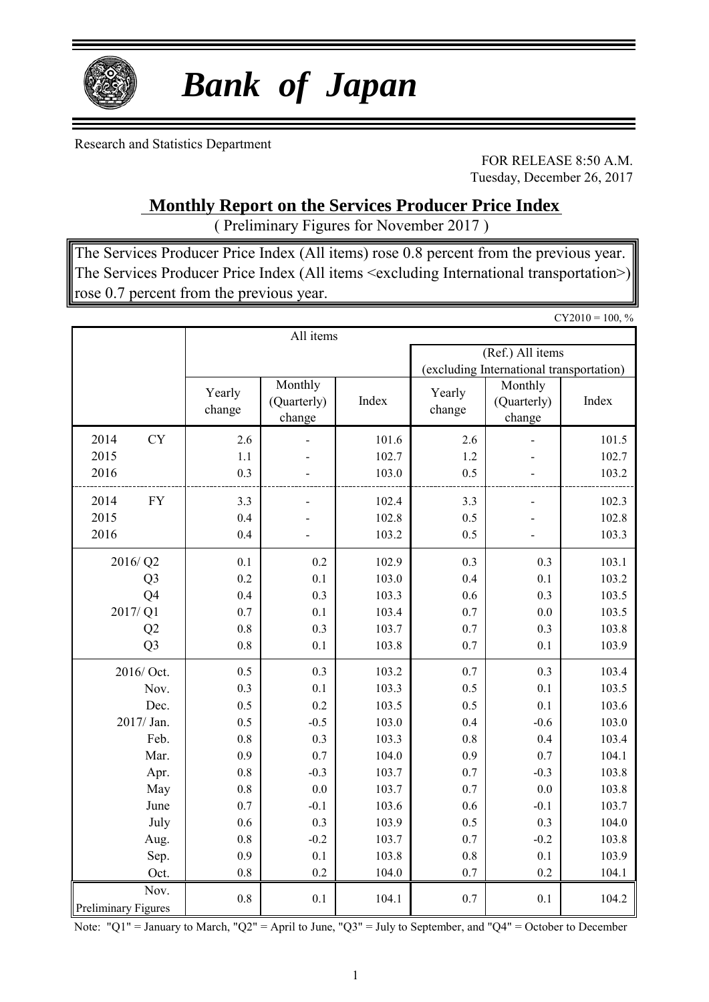

# *Bank of Japan*

Research and Statistics Department

FOR RELEASE 8:50 A.M. Tuesday, December 26, 2017

 $CY2010 - 100, 0$ 

### **Monthly Report on the Services Producer Price Index**

( Preliminary Figures for November 2017 )

The Services Producer Price Index (All items) rose 0.8 percent from the previous year. The Services Producer Price Index (All items <excluding International transportation>) rose 0.7 percent from the previous year.

|                                    |                  | All items                                 |       |                                          |                                  | $U12010 = 100, 70$ |  |  |  |
|------------------------------------|------------------|-------------------------------------------|-------|------------------------------------------|----------------------------------|--------------------|--|--|--|
|                                    |                  |                                           |       |                                          | (Ref.) All items                 |                    |  |  |  |
|                                    |                  |                                           |       | (excluding International transportation) |                                  |                    |  |  |  |
|                                    | Yearly<br>change | Monthly<br>Index<br>(Quarterly)<br>change |       | Yearly<br>change                         | Monthly<br>(Quarterly)<br>change | Index              |  |  |  |
| <b>CY</b><br>2014                  | 2.6              |                                           | 101.6 | 2.6                                      |                                  | 101.5              |  |  |  |
| 2015                               | 1.1              |                                           | 102.7 | 1.2                                      |                                  | 102.7              |  |  |  |
| 2016                               | 0.3              |                                           | 103.0 | 0.5                                      |                                  | 103.2              |  |  |  |
| 2014<br><b>FY</b>                  | 3.3              |                                           | 102.4 | 3.3                                      |                                  | 102.3              |  |  |  |
| 2015                               | 0.4              |                                           | 102.8 | 0.5                                      |                                  | 102.8              |  |  |  |
| 2016                               | 0.4              |                                           | 103.2 | 0.5                                      |                                  | 103.3              |  |  |  |
| 2016/Q2                            | 0.1              | 0.2                                       | 102.9 | 0.3                                      | 0.3                              | 103.1              |  |  |  |
| Q <sub>3</sub>                     | 0.2              | 0.1                                       | 103.0 | 0.4                                      | 0.1                              | 103.2              |  |  |  |
| Q <sub>4</sub>                     | 0.4              | 0.3                                       | 103.3 | 0.6                                      | 0.3                              | 103.5              |  |  |  |
| 2017/Q1                            | 0.7              | 0.1                                       | 103.4 | 0.7                                      | 0.0                              | 103.5              |  |  |  |
| Q2                                 | 0.8              | 0.3                                       | 103.7 | 0.7                                      | 0.3                              | 103.8              |  |  |  |
| Q <sub>3</sub>                     | 0.8              | 0.1                                       | 103.8 | 0.7                                      | 0.1                              | 103.9              |  |  |  |
| 2016/ Oct.                         | 0.5              | 0.3                                       | 103.2 | 0.7                                      | 0.3                              | 103.4              |  |  |  |
| Nov.                               | 0.3              | 0.1                                       | 103.3 | 0.5                                      | 0.1                              | 103.5              |  |  |  |
| Dec.                               | 0.5              | 0.2                                       | 103.5 | 0.5                                      | 0.1                              | 103.6              |  |  |  |
| 2017/ Jan.                         | 0.5              | $-0.5$                                    | 103.0 | 0.4                                      | $-0.6$                           | 103.0              |  |  |  |
| Feb.                               | 0.8              | 0.3                                       | 103.3 | 0.8                                      | 0.4                              | 103.4              |  |  |  |
| Mar.                               | 0.9              | 0.7                                       | 104.0 | 0.9                                      | 0.7                              | 104.1              |  |  |  |
| Apr.                               | 0.8              | $-0.3$                                    | 103.7 | 0.7                                      | $-0.3$                           | 103.8              |  |  |  |
| May                                | 0.8              | 0.0                                       | 103.7 | 0.7                                      | $0.0\,$                          | 103.8              |  |  |  |
| June                               | 0.7              | $-0.1$                                    | 103.6 | 0.6                                      | $-0.1$                           | 103.7              |  |  |  |
| July                               | $0.6\,$          | 0.3                                       | 103.9 | 0.5                                      | 0.3                              | 104.0              |  |  |  |
| Aug.                               | 0.8              | $-0.2$                                    | 103.7 | 0.7                                      | $-0.2$                           | 103.8              |  |  |  |
| Sep.                               | 0.9              | 0.1                                       | 103.8 | 0.8                                      | 0.1                              | 103.9              |  |  |  |
| Oct.                               | 0.8              | 0.2                                       | 104.0 | 0.7                                      | 0.2                              | 104.1              |  |  |  |
| Nov.<br><b>Preliminary Figures</b> | 0.8              | 0.1                                       | 104.1 | 0.7                                      | 0.1                              | 104.2              |  |  |  |

Note: "Q1" = January to March, "Q2" = April to June, "Q3" = July to September, and "Q4" = October to December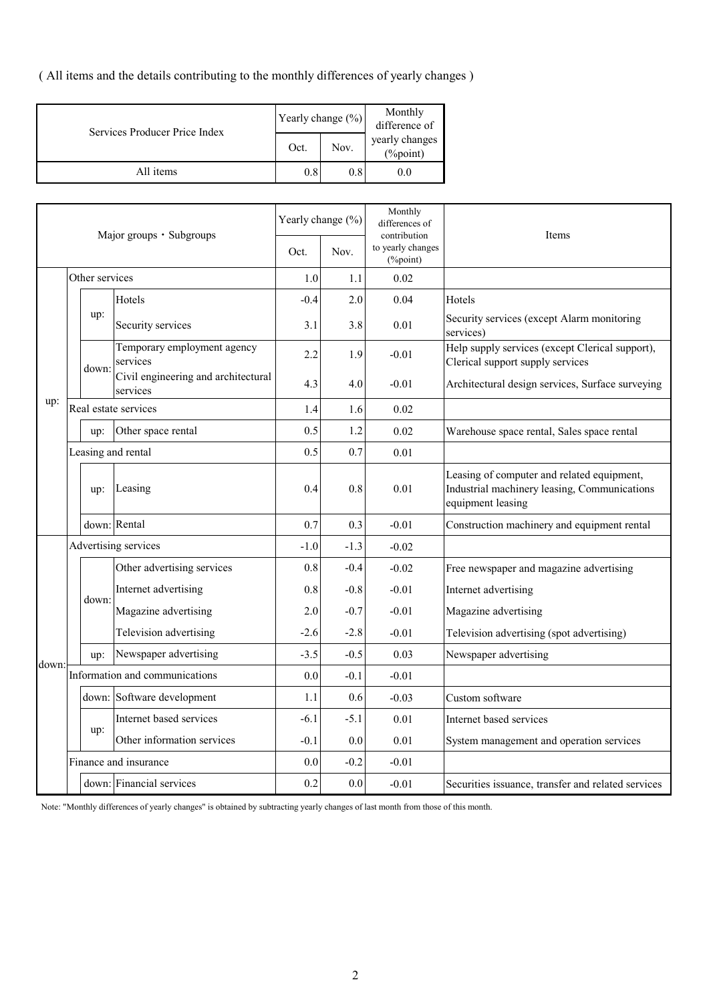( All items and the details contributing to the monthly differences of yearly changes )

| Services Producer Price Index | Yearly change (%) |      | Monthly<br>difference of   |  |
|-------------------------------|-------------------|------|----------------------------|--|
|                               | Oct.              | Nov. | yearly changes<br>(%point) |  |
| All items                     | 0.8               | 0.8  | 0.0                        |  |

| Major groups · Subgroups |  |                      | Yearly change (%)                               | Monthly<br>differences of<br>contribution | Items                         |         |                                                                                                                 |
|--------------------------|--|----------------------|-------------------------------------------------|-------------------------------------------|-------------------------------|---------|-----------------------------------------------------------------------------------------------------------------|
| Other services           |  |                      | Oct.                                            | Nov.                                      | to yearly changes<br>(%point) |         |                                                                                                                 |
|                          |  |                      |                                                 | 1.0                                       | 1.1                           | 0.02    |                                                                                                                 |
|                          |  |                      | Hotels                                          | $-0.4$                                    | 2.0                           | 0.04    | Hotels                                                                                                          |
|                          |  | up:                  | Security services                               | 3.1                                       | 3.8                           | 0.01    | Security services (except Alarm monitoring<br>services)                                                         |
|                          |  | down:                | Temporary employment agency<br>services         | 2.2                                       | 1.9                           | $-0.01$ | Help supply services (except Clerical support),<br>Clerical support supply services                             |
|                          |  |                      | Civil engineering and architectural<br>services | 4.3                                       | 4.0                           | $-0.01$ | Architectural design services, Surface surveying                                                                |
| up:                      |  |                      | Real estate services                            | 1.4                                       | 1.6                           | 0.02    |                                                                                                                 |
|                          |  | up:                  | Other space rental                              | 0.5                                       | 1.2                           | 0.02    | Warehouse space rental, Sales space rental                                                                      |
|                          |  | Leasing and rental   |                                                 | 0.5                                       | 0.7                           | 0.01    |                                                                                                                 |
|                          |  | up:                  | Leasing                                         | 0.4                                       | 0.8                           | 0.01    | Leasing of computer and related equipment,<br>Industrial machinery leasing, Communications<br>equipment leasing |
|                          |  |                      | down: Rental                                    | 0.7                                       | 0.3                           | $-0.01$ | Construction machinery and equipment rental                                                                     |
|                          |  | Advertising services |                                                 | $-1.0$                                    | $-1.3$                        | $-0.02$ |                                                                                                                 |
|                          |  |                      | Other advertising services                      | 0.8                                       | $-0.4$                        | $-0.02$ | Free newspaper and magazine advertising                                                                         |
|                          |  | down:                | Internet advertising                            | 0.8                                       | $-0.8$                        | $-0.01$ | Internet advertising                                                                                            |
|                          |  |                      | Magazine advertising                            | 2.0                                       | $-0.7$                        | $-0.01$ | Magazine advertising                                                                                            |
|                          |  |                      | Television advertising                          | $-2.6$                                    | $-2.8$                        | $-0.01$ | Television advertising (spot advertising)                                                                       |
| down:                    |  | up:                  | Newspaper advertising                           | $-3.5$                                    | $-0.5$                        | 0.03    | Newspaper advertising                                                                                           |
|                          |  |                      | Information and communications                  | 0.0                                       | $-0.1$                        | $-0.01$ |                                                                                                                 |
|                          |  |                      | down: Software development                      | 1.1                                       | 0.6                           | $-0.03$ | Custom software                                                                                                 |
|                          |  |                      | Internet based services                         | $-6.1$                                    | $-5.1$                        | 0.01    | Internet based services                                                                                         |
|                          |  | up:                  | Other information services                      | $-0.1$                                    | 0.0                           | 0.01    | System management and operation services                                                                        |
|                          |  |                      | Finance and insurance                           |                                           | $-0.2$                        | $-0.01$ |                                                                                                                 |
|                          |  |                      | down: Financial services                        | 0.2                                       | 0.0                           | $-0.01$ | Securities issuance, transfer and related services                                                              |

Note: "Monthly differences of yearly changes" is obtained by subtracting yearly changes of last month from those of this month.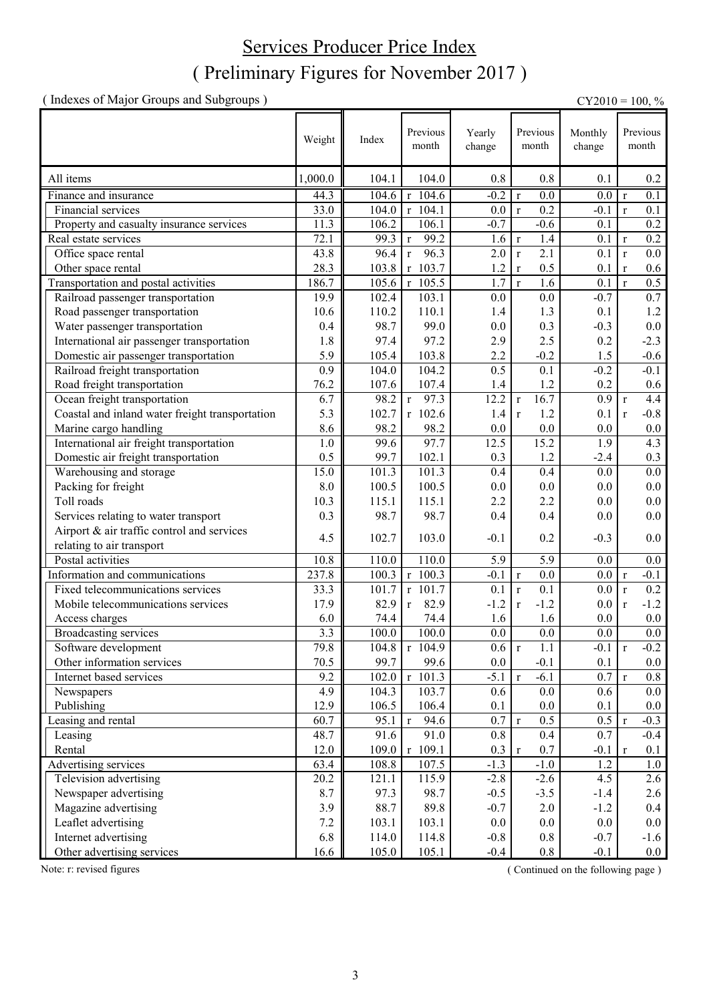### ( Preliminary Figures for November 2017 ) Services Producer Price Index

(Indexes of Major Groups and Subgroups)  $CY2010 = 100, \%$ 

|                                                 | Weight  | Index | Previous<br>month    | Yearly<br>change | Previous<br>month                | Monthly<br>change | Previous<br>month       |
|-------------------------------------------------|---------|-------|----------------------|------------------|----------------------------------|-------------------|-------------------------|
| All items                                       | 1,000.0 | 104.1 | 104.0                | 0.8              | 0.8                              | 0.1               | 0.2                     |
| Finance and insurance                           | 44.3    | 104.6 | $r$ 104.6            | $-0.2$           | $\overline{0.0}$<br>$\mathbf r$  | 0.0               | 0.1<br>$\mathbf{r}$     |
| Financial services                              | 33.0    | 104.0 | $r$ 104.1            | 0.0              | 0.2<br>$\mathbf{r}$              | $-0.1$            | 0.1<br>$\mathbf{r}$     |
| Property and casualty insurance services        | 11.3    | 106.2 | 106.1                | $-0.7$           | $-0.6$                           | 0.1               | 0.2                     |
| Real estate services                            | 72.1    | 99.3  | 99.2<br>$\mathbf r$  | 1.6              | 1.4<br>$\mathbf r$               | 0.1               | 0.2<br>$\mathbf r$      |
| Office space rental                             | 43.8    | 96.4  | 96.3<br>$\mathbf r$  | 2.0              | $\overline{2.1}$<br>$\mathbf{r}$ | 0.1               | 0.0<br>$\mathbf{r}$     |
| Other space rental                              | 28.3    | 103.8 | $r$ 103.7            | 1.2              | 0.5<br>$\mathbf r$               | 0.1               | 0.6<br>$\mathbf{r}$     |
| Transportation and postal activities            | 186.7   | 105.6 | $r$ 105.5            | 1.7              | $\mathbf{r}$<br>1.6              | 0.1               | 0.5<br>$\mathbf{r}$     |
| Railroad passenger transportation               | 19.9    | 102.4 | 103.1                | 0.0              | 0.0                              | $-0.7$            | 0.7                     |
| Road passenger transportation                   | 10.6    | 110.2 | 110.1                | 1.4              | 1.3                              | 0.1               | 1.2                     |
| Water passenger transportation                  | 0.4     | 98.7  | 99.0                 | 0.0              | 0.3                              | $-0.3$            | $0.0\,$                 |
| International air passenger transportation      | 1.8     | 97.4  | 97.2                 | 2.9              | 2.5                              | 0.2               | $-2.3$                  |
| Domestic air passenger transportation           | 5.9     | 105.4 | 103.8                | 2.2              | $-0.2$                           | 1.5               | $-0.6$                  |
| Railroad freight transportation                 | 0.9     | 104.0 | 104.2                | 0.5              | 0.1                              | $-0.2$            | $-0.1$                  |
| Road freight transportation                     | 76.2    | 107.6 | 107.4                | 1.4              | 1.2                              | 0.2               | $0.6\,$                 |
| Ocean freight transportation                    | 6.7     | 98.2  | 97.3<br>$\mathbf r$  | 12.2             | 16.7<br>$\mathbf r$              | 0.9               | 4.4<br>$\mathbf{r}$     |
| Coastal and inland water freight transportation | 5.3     | 102.7 | $r$ 102.6            | 1.4              | 1.2<br>$\mathbf r$               | 0.1               | $-0.8$<br>$\mathbf{r}$  |
| Marine cargo handling                           | 8.6     | 98.2  | 98.2                 | $0.0\,$          | 0.0                              | 0.0               | $0.0\,$                 |
| International air freight transportation        | 1.0     | 99.6  | 97.7                 | 12.5             | 15.2                             | 1.9               | 4.3                     |
| Domestic air freight transportation             | 0.5     | 99.7  | 102.1                | 0.3              | $1.2$                            | $-2.4$            | 0.3                     |
| Warehousing and storage                         | 15.0    | 101.3 | 101.3                | 0.4              | 0.4                              | 0.0               | 0.0                     |
| Packing for freight                             | 8.0     | 100.5 | 100.5                | 0.0              | 0.0                              | $0.0\,$           | $0.0\,$                 |
| Toll roads                                      | 10.3    | 115.1 | 115.1                | 2.2              | 2.2                              | 0.0               | 0.0                     |
| Services relating to water transport            | 0.3     | 98.7  | 98.7                 | 0.4              | 0.4                              | 0.0               | $0.0\,$                 |
| Airport & air traffic control and services      | 4.5     | 102.7 | 103.0                | $-0.1$           | 0.2                              | $-0.3$            | 0.0                     |
| relating to air transport                       |         |       |                      |                  |                                  |                   |                         |
| Postal activities                               | 10.8    | 110.0 | 110.0                | 5.9              | 5.9                              | 0.0               | $0.0\,$                 |
| Information and communications                  | 237.8   | 100.3 | $r$ 100.3            | $-0.1$           | 0.0<br>$\mathbf r$               | 0.0               | $-0.1$<br>$\mathbf{r}$  |
| Fixed telecommunications services               | 33.3    | 101.7 | $r$ 101.7            | 0.1              | 0.1<br>$\mathbf{r}$              | 0.0               | 0.2<br>$\mathbf{r}$     |
| Mobile telecommunications services              | 17.9    | 82.9  | 82.9<br>$\mathbf r$  | $-1.2$           | $-1.2$<br>$\mathbf r$            | 0.0               | $-1.2$<br>$\mathbf r$   |
| Access charges                                  | 6.0     | 74.4  | 74.4                 | 1.6              | 1.6                              | 0.0               | $0.0\,$                 |
| Broadcasting services                           | 3.3     | 100.0 | 100.0                | 0.0              | 0.0                              | 0.0               | 0.0                     |
| Software development                            | 79.8    | 104.8 | r 104.9              | 0.6 r            | 1.1                              | $-0.1$            | $-0.2$<br>$\mathbf r$   |
| Other information services                      | 70.5    | 99.7  | 99.6                 | $0.0\,$          | $-0.1$                           | 0.1               | $0.0\,$                 |
| Internet based services                         | 9.2     | 102.0 | r 101.3              | $-5.1$           | $-6.1$<br>$\mathbf r$            | 0.7               | $0.8\,$<br>$\mathbf{r}$ |
| Newspapers                                      | 4.9     | 104.3 | 103.7                | 0.6              | $0.0\,$                          | 0.6               | 0.0                     |
| Publishing                                      | 12.9    | 106.5 | 106.4                | 0.1              | 0.0                              | 0.1               | 0.0                     |
| Leasing and rental                              | 60.7    | 95.1  | $\mathbf{r}$<br>94.6 | 0.7              | 0.5<br>$\mathbf r$               | 0.5               | $-0.3$<br>$\mathbf{r}$  |
| Leasing                                         | 48.7    | 91.6  | 91.0                 | 0.8              | 0.4                              | 0.7               | $-0.4$                  |
| Rental                                          | 12.0    | 109.0 | r 109.1              | 0.3              | 0.7<br>$\mathbf r$               | $-0.1$            | 0.1<br>$\mathbf{r}$     |
| Advertising services                            | 63.4    | 108.8 | 107.5                | $-1.3$           | $-1.0$                           | 1.2               | $1.0\,$                 |
| Television advertising                          | 20.2    | 121.1 | 115.9                | $-2.8$           | $-2.6$                           | 4.5               | 2.6                     |
| Newspaper advertising                           | 8.7     | 97.3  | 98.7                 | $-0.5$           | $-3.5$                           | $-1.4$            | 2.6                     |
| Magazine advertising                            | 3.9     | 88.7  | 89.8                 | $-0.7$           | 2.0                              | $-1.2$            | 0.4                     |
| Leaflet advertising                             | 7.2     | 103.1 | 103.1                | $0.0\,$          | 0.0                              | $0.0\,$           | 0.0                     |
| Internet advertising                            | 6.8     | 114.0 | 114.8                | $-0.8$           | $0.8\,$                          | $-0.7$            | $-1.6$                  |
| Other advertising services                      | 16.6    | 105.0 | 105.1                | $-0.4$           | 0.8                              | $-0.1$            | $0.0\,$                 |

Note: r: revised figures (Continued on the following page)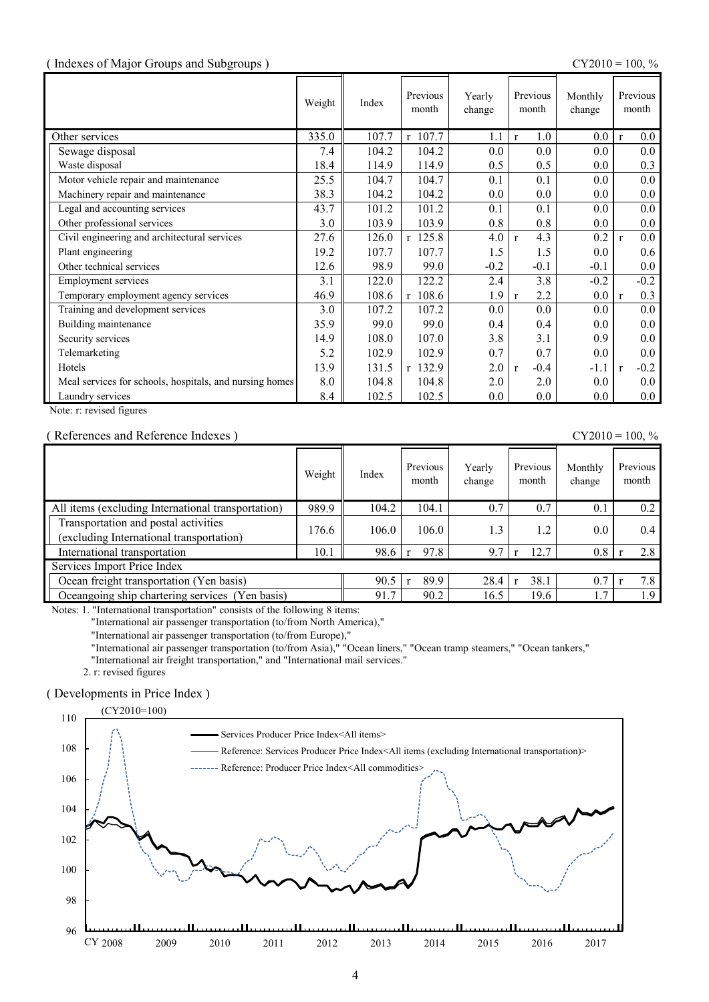#### ( Indexes of Major Groups and Subgroups ) CY2010 = 100, %

|                                                         | Weight | Index | Previous<br>month | Yearly<br>change | Previous<br>month      | Monthly<br>change |              | Previous<br>month |
|---------------------------------------------------------|--------|-------|-------------------|------------------|------------------------|-------------------|--------------|-------------------|
| Other services                                          | 335.0  | 107.7 | r 107.7           | 1.1              | 1.0<br>$\mathbf{r}$    | 0.0               | $\mathbf{r}$ | 0.0               |
| Sewage disposal                                         | 7.4    | 104.2 | 104.2             | 0.0              | 0.0                    | $0.0\,$           |              | 0.0               |
| Waste disposal                                          | 18.4   | 114.9 | 114.9             | 0.5              | 0.5                    | 0.0               |              | 0.3               |
| Motor vehicle repair and maintenance                    | 25.5   | 104.7 | 104.7             | 0.1              | 0.1                    | $0.0\,$           |              | 0.0               |
| Machinery repair and maintenance                        | 38.3   | 104.2 | 104.2             | 0.0              | 0.0                    | 0.0               |              | 0.0               |
| Legal and accounting services                           | 43.7   | 101.2 | 101.2             | 0.1              | 0.1                    | 0.0               |              | 0.0               |
| Other professional services                             | 3.0    | 103.9 | 103.9             | 0.8              | 0.8                    | $0.0\,$           |              | 0.0               |
| Civil engineering and architectural services            | 27.6   | 126.0 | $r$ 125.8         | 4.0              | 4.3<br>$\mathbf{r}$    | 0.2               | $\mathbf{r}$ | 0.0               |
| Plant engineering                                       | 19.2   | 107.7 | 107.7             | 1.5              | 1.5                    | 0.0               |              | 0.6               |
| Other technical services                                | 12.6   | 98.9  | 99.0              | $-0.2$           | $-0.1$                 | $-0.1$            |              | 0.0               |
| <b>Employment services</b>                              | 3.1    | 122.0 | 122.2             | 2.4              | 3.8                    | $-0.2$            |              | $-0.2$            |
| Temporary employment agency services                    | 46.9   | 108.6 | $r$ 108.6         | 1.9              | 2.2<br>$\mathbf{r}$    | 0.0               | $\mathbf{r}$ | 0.3               |
| Training and development services                       | 3.0    | 107.2 | 107.2             | 0.0              | 0.0                    | 0.0               |              | 0.0               |
| Building maintenance                                    | 35.9   | 99.0  | 99.0              | 0.4              | 0.4                    | 0.0               |              | 0.0               |
| Security services                                       | 14.9   | 108.0 | 107.0             | 3.8              | 3.1                    | 0.9               |              | 0.0               |
| Telemarketing                                           | 5.2    | 102.9 | 102.9             | 0.7              | 0.7                    | 0.0               |              | 0.0               |
| Hotels                                                  | 13.9   | 131.5 | r 132.9           | 2.0              | $-0.4$<br>$\mathbf{r}$ | $-1.1$            | $\mathbf{r}$ | $-0.2$            |
| Meal services for schools, hospitals, and nursing homes | 8.0    | 104.8 | 104.8             | 2.0              | 2.0                    | $0.0\,$           |              | 0.0               |
| Laundry services                                        | 8.4    | 102.5 | 102.5             | 0.0              | 0.0                    | 0.0               |              | 0.0               |

Note: r: revised figures

#### ( References and Reference Indexes ) CY2010 = 100, %

|                                                                                  | Weight | Index | Previous<br>month | Yearly<br>change | Previous<br>month    | Monthly<br>change | Previous<br>month |
|----------------------------------------------------------------------------------|--------|-------|-------------------|------------------|----------------------|-------------------|-------------------|
| All items (excluding International transportation)                               | 989.9  | 104.2 | 104.1             | 0.7              | 0.7                  | 0.1               | 0.2               |
| Transportation and postal activities<br>(excluding International transportation) | 176.6  | 106.0 | 106.0             | 1.3              | 1.2                  | 0.0               | 0.4               |
| International transportation                                                     | 10.1   | 98.6  | 97.8              | 9.7              | 12.7                 | 0.8               | 2.8               |
| Services Import Price Index                                                      |        |       |                   |                  |                      |                   |                   |
| Ocean freight transportation (Yen basis)                                         |        | 90.5  | 89.9              | 28.4             | 38.1<br>$\mathbf{r}$ | 0.7               | 7.8               |
| Oceangoing ship chartering services (Yen basis)                                  |        | 91.7  | 90.2              | 16.5             | 19.6                 | 1.7               | 1.9               |

Notes: 1. "International transportation" consists of the following 8 items:

"International air passenger transportation (to/from North America),"

"International air passenger transportation (to/from Europe),"

"International air passenger transportation (to/from Asia)," "Ocean liners," "Ocean tramp steamers," "Ocean tankers,"

"International air freight transportation," and "International mail services."

2. r: revised figures

#### ( Developments in Price Index )